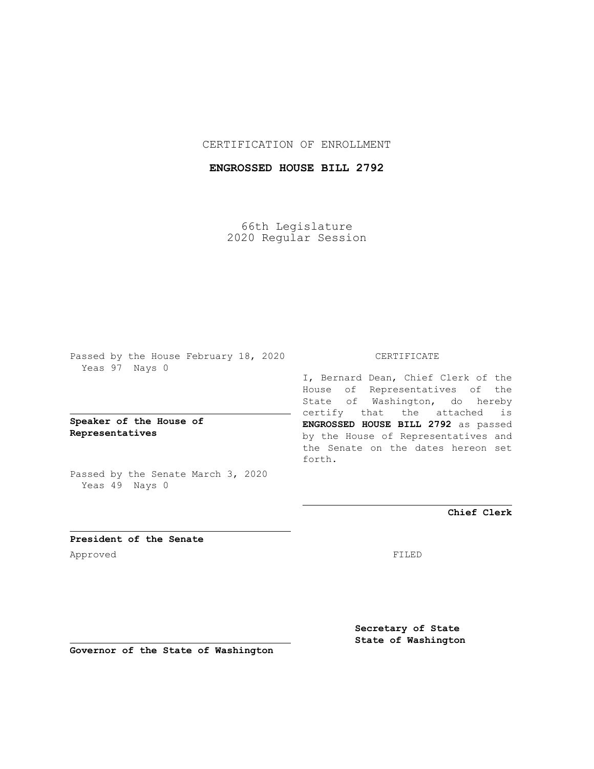## CERTIFICATION OF ENROLLMENT

# **ENGROSSED HOUSE BILL 2792**

66th Legislature 2020 Regular Session

Passed by the House February 18, 2020 Yeas 97 Nays 0

## **Speaker of the House of Representatives**

Passed by the Senate March 3, 2020 Yeas 49 Nays 0

#### CERTIFICATE

I, Bernard Dean, Chief Clerk of the House of Representatives of the State of Washington, do hereby certify that the attached is **ENGROSSED HOUSE BILL 2792** as passed by the House of Representatives and the Senate on the dates hereon set forth.

**Chief Clerk**

**President of the Senate** Approved FILED

**Secretary of State State of Washington**

**Governor of the State of Washington**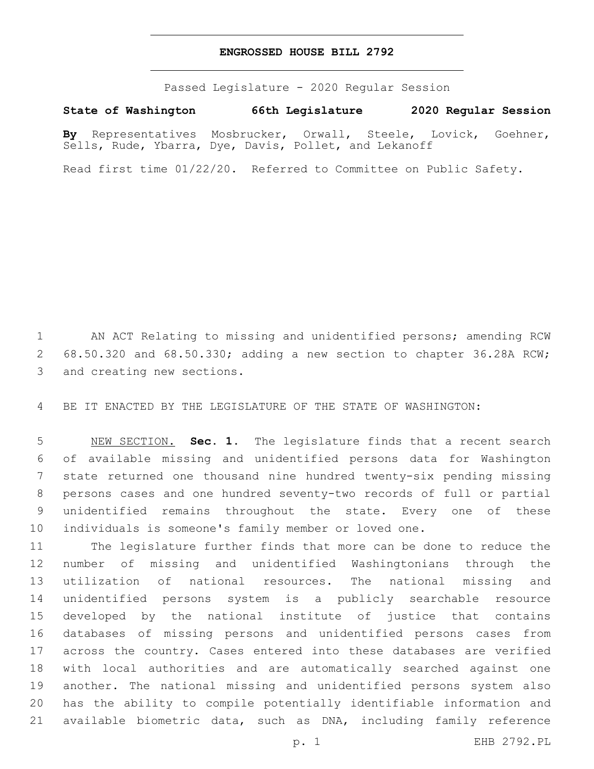#### **ENGROSSED HOUSE BILL 2792**

Passed Legislature - 2020 Regular Session

**State of Washington 66th Legislature 2020 Regular Session**

**By** Representatives Mosbrucker, Orwall, Steele, Lovick, Goehner, Sells, Rude, Ybarra, Dye, Davis, Pollet, and Lekanoff

Read first time 01/22/20. Referred to Committee on Public Safety.

 AN ACT Relating to missing and unidentified persons; amending RCW 68.50.320 and 68.50.330; adding a new section to chapter 36.28A RCW; 3 and creating new sections.

BE IT ENACTED BY THE LEGISLATURE OF THE STATE OF WASHINGTON:

 NEW SECTION. **Sec. 1.** The legislature finds that a recent search of available missing and unidentified persons data for Washington state returned one thousand nine hundred twenty-six pending missing persons cases and one hundred seventy-two records of full or partial unidentified remains throughout the state. Every one of these individuals is someone's family member or loved one.

 The legislature further finds that more can be done to reduce the number of missing and unidentified Washingtonians through the utilization of national resources. The national missing and unidentified persons system is a publicly searchable resource developed by the national institute of justice that contains databases of missing persons and unidentified persons cases from across the country. Cases entered into these databases are verified with local authorities and are automatically searched against one another. The national missing and unidentified persons system also has the ability to compile potentially identifiable information and available biometric data, such as DNA, including family reference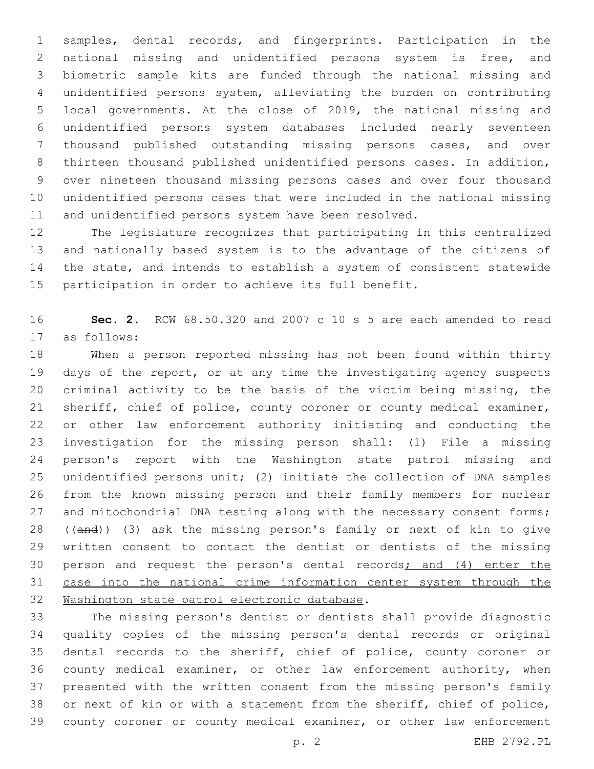samples, dental records, and fingerprints. Participation in the national missing and unidentified persons system is free, and biometric sample kits are funded through the national missing and unidentified persons system, alleviating the burden on contributing local governments. At the close of 2019, the national missing and unidentified persons system databases included nearly seventeen thousand published outstanding missing persons cases, and over thirteen thousand published unidentified persons cases. In addition, over nineteen thousand missing persons cases and over four thousand unidentified persons cases that were included in the national missing and unidentified persons system have been resolved.

 The legislature recognizes that participating in this centralized and nationally based system is to the advantage of the citizens of the state, and intends to establish a system of consistent statewide participation in order to achieve its full benefit.

 **Sec. 2.** RCW 68.50.320 and 2007 c 10 s 5 are each amended to read as follows:17

 When a person reported missing has not been found within thirty days of the report, or at any time the investigating agency suspects criminal activity to be the basis of the victim being missing, the sheriff, chief of police, county coroner or county medical examiner, or other law enforcement authority initiating and conducting the investigation for the missing person shall: (1) File a missing person's report with the Washington state patrol missing and unidentified persons unit; (2) initiate the collection of DNA samples from the known missing person and their family members for nuclear 27 and mitochondrial DNA testing along with the necessary consent forms; ((and)) (3) ask the missing person's family or next of kin to give written consent to contact the dentist or dentists of the missing person and request the person's dental records; and (4) enter the 31 case into the national crime information center system through the 32 Washington state patrol electronic database.

 The missing person's dentist or dentists shall provide diagnostic quality copies of the missing person's dental records or original dental records to the sheriff, chief of police, county coroner or county medical examiner, or other law enforcement authority, when presented with the written consent from the missing person's family or next of kin or with a statement from the sheriff, chief of police, county coroner or county medical examiner, or other law enforcement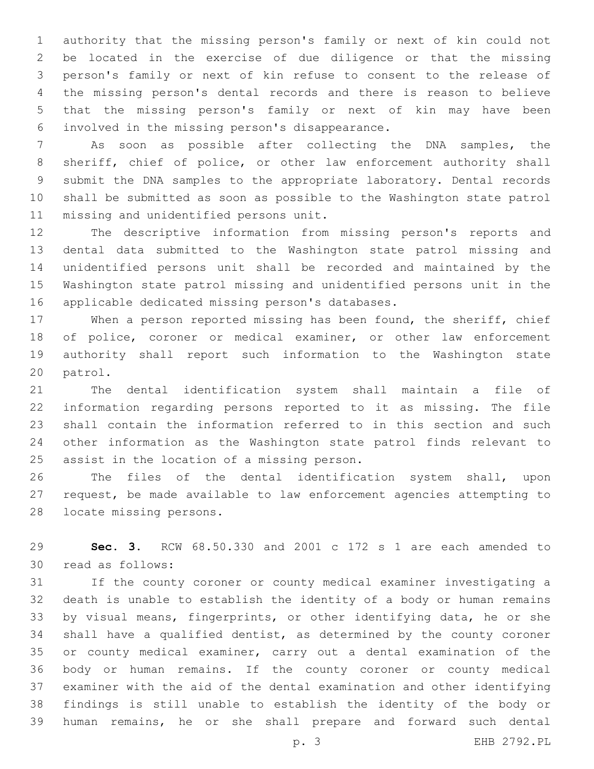authority that the missing person's family or next of kin could not be located in the exercise of due diligence or that the missing person's family or next of kin refuse to consent to the release of the missing person's dental records and there is reason to believe that the missing person's family or next of kin may have been involved in the missing person's disappearance.6

 As soon as possible after collecting the DNA samples, the sheriff, chief of police, or other law enforcement authority shall submit the DNA samples to the appropriate laboratory. Dental records shall be submitted as soon as possible to the Washington state patrol 11 missing and unidentified persons unit.

 The descriptive information from missing person's reports and dental data submitted to the Washington state patrol missing and unidentified persons unit shall be recorded and maintained by the Washington state patrol missing and unidentified persons unit in the 16 applicable dedicated missing person's databases.

 When a person reported missing has been found, the sheriff, chief of police, coroner or medical examiner, or other law enforcement authority shall report such information to the Washington state 20 patrol.

 The dental identification system shall maintain a file of information regarding persons reported to it as missing. The file shall contain the information referred to in this section and such other information as the Washington state patrol finds relevant to 25 assist in the location of a missing person.

 The files of the dental identification system shall, upon request, be made available to law enforcement agencies attempting to 28 locate missing persons.

 **Sec. 3.** RCW 68.50.330 and 2001 c 172 s 1 are each amended to 30 read as follows:

 If the county coroner or county medical examiner investigating a death is unable to establish the identity of a body or human remains by visual means, fingerprints, or other identifying data, he or she shall have a qualified dentist, as determined by the county coroner or county medical examiner, carry out a dental examination of the body or human remains. If the county coroner or county medical examiner with the aid of the dental examination and other identifying findings is still unable to establish the identity of the body or human remains, he or she shall prepare and forward such dental

p. 3 EHB 2792.PL